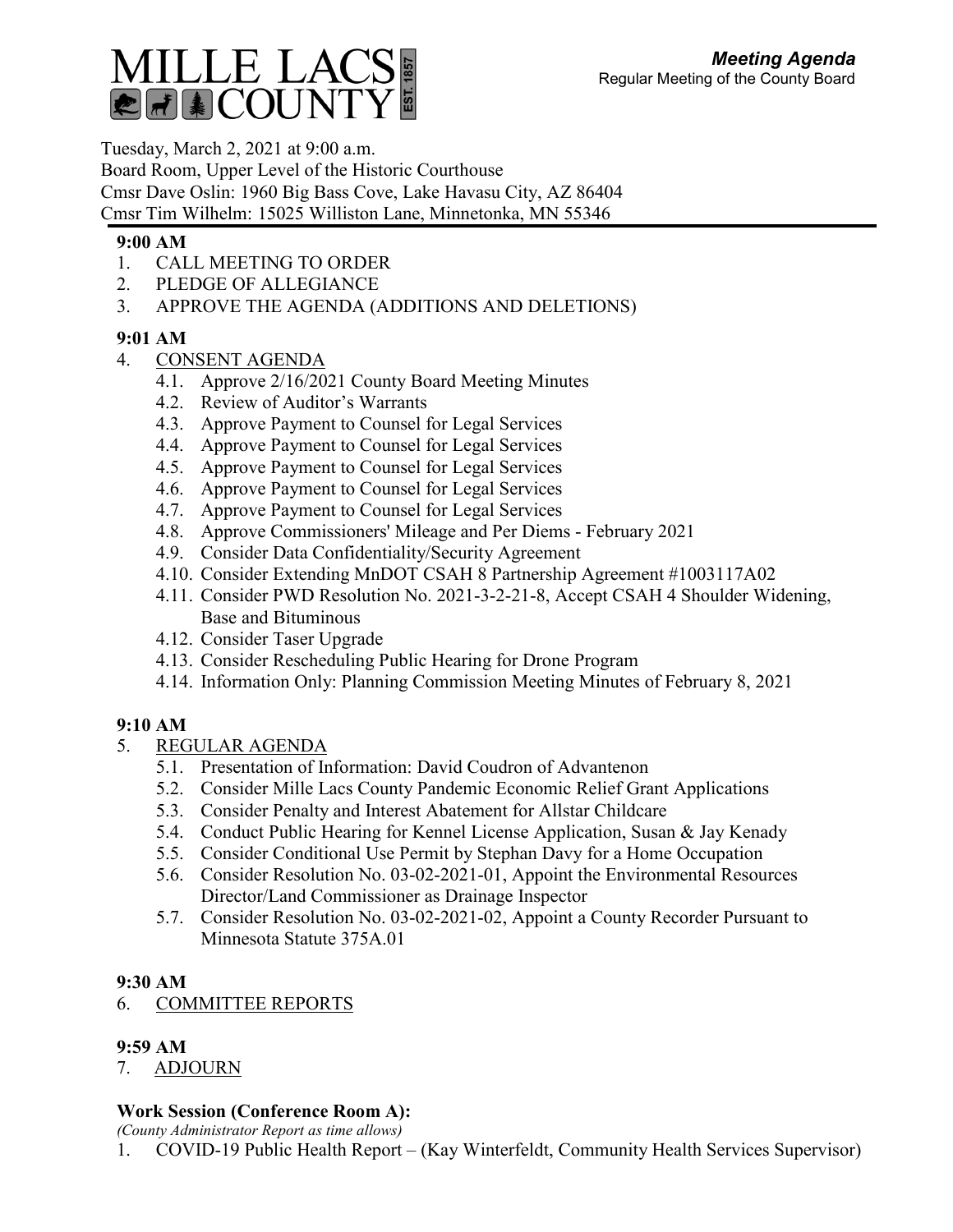

Tuesday, March 2, 2021 at 9:00 a.m. Board Room, Upper Level of the Historic Courthouse Cmsr Dave Oslin: 1960 Big Bass Cove, Lake Havasu City, AZ 86404 Cmsr Tim Wilhelm: 15025 Williston Lane, Minnetonka, MN 55346

### **9:00 AM**

- 1. CALL MEETING TO ORDER
- 2. PLEDGE OF ALLEGIANCE
- 3. APPROVE THE AGENDA (ADDITIONS AND DELETIONS)

### **9:01 AM**

- 4. CONSENT AGENDA
	- 4.1. Approve 2/16/2021 County Board Meeting Minutes
	- 4.2. Review of Auditor's Warrants
	- 4.3. Approve Payment to Counsel for Legal Services
	- 4.4. Approve Payment to Counsel for Legal Services
	- 4.5. Approve Payment to Counsel for Legal Services
	- 4.6. Approve Payment to Counsel for Legal Services
	- 4.7. Approve Payment to Counsel for Legal Services
	- 4.8. Approve Commissioners' Mileage and Per Diems February 2021
	- 4.9. Consider Data Confidentiality/Security Agreement
	- 4.10. Consider Extending MnDOT CSAH 8 Partnership Agreement #1003117A02
	- 4.11. Consider PWD Resolution No. 2021-3-2-21-8, Accept CSAH 4 Shoulder Widening, Base and Bituminous
	- 4.12. Consider Taser Upgrade
	- 4.13. Consider Rescheduling Public Hearing for Drone Program
	- 4.14. Information Only: Planning Commission Meeting Minutes of February 8, 2021

# **9:10 AM**

- 5. REGULAR AGENDA
	- 5.1. Presentation of Information: David Coudron of Advantenon
	- 5.2. Consider Mille Lacs County Pandemic Economic Relief Grant Applications
	- 5.3. Consider Penalty and Interest Abatement for Allstar Childcare
	- 5.4. Conduct Public Hearing for Kennel License Application, Susan & Jay Kenady
	- 5.5. Consider Conditional Use Permit by Stephan Davy for a Home Occupation
	- 5.6. Consider Resolution No. 03-02-2021-01, Appoint the Environmental Resources Director/Land Commissioner as Drainage Inspector
	- 5.7. Consider Resolution No. 03-02-2021-02, Appoint a County Recorder Pursuant to Minnesota Statute 375A.01

# **9:30 AM**

6. COMMITTEE REPORTS

# **9:59 AM**

7. ADJOURN

# **Work Session (Conference Room A):**

*(County Administrator Report as time allows)*

1. COVID-19 Public Health Report – (Kay Winterfeldt, Community Health Services Supervisor)